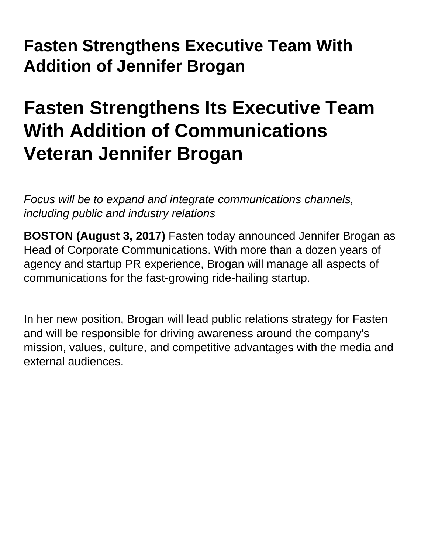## **Fasten Strengthens Executive Team With Addition of Jennifer Brogan**

## **Fasten Strengthens Its Executive Team With Addition of Communications Veteran Jennifer Brogan**

Focus will be to expand and integrate communications channels, including public and industry relations

**BOSTON (August 3, 2017)** Fasten today announced Jennifer Brogan as Head of Corporate Communications. With more than a dozen years of agency and startup PR experience, Brogan will manage all aspects of communications for the fast-growing ride-hailing startup.

In her new position, Brogan will lead public relations strategy for Fasten and will be responsible for driving awareness around the company's mission, values, culture, and competitive advantages with the media and external audiences.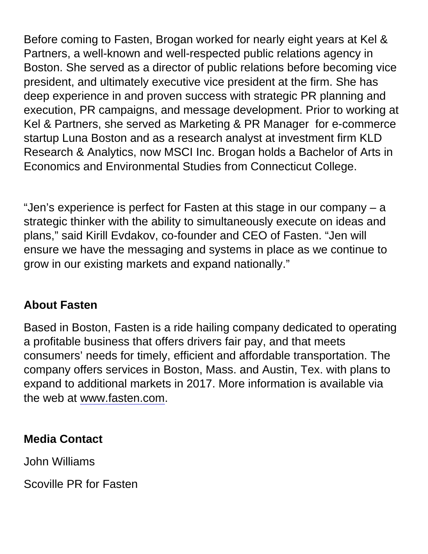Before coming to Fasten, Brogan worked for nearly eight years at Kel & Partners, a well-known and well-respected public relations agency in Boston. She served as a director of public relations before becoming vice president, and ultimately executive vice president at the firm. She has deep experience in and proven success with strategic PR planning and execution, PR campaigns, and message development. Prior to working at Kel & Partners, she served as Marketing & PR Manager for e-commerce startup Luna Boston and as a research analyst at investment firm KLD Research & Analytics, now MSCI Inc. Brogan holds a Bachelor of Arts in Economics and Environmental Studies from Connecticut College.

"Jen's experience is perfect for Fasten at this stage in our company – a strategic thinker with the ability to simultaneously execute on ideas and plans," said Kirill Evdakov, co-founder and CEO of Fasten. "Jen will ensure we have the messaging and systems in place as we continue to grow in our existing markets and expand nationally."

## About Fasten

Based in Boston, Fasten is a ride hailing company dedicated to operating a profitable business that offers drivers fair pay, and that meets consumers' needs for timely, efficient and affordable transportation. The company offers services in Boston, Mass. and Austin, Tex. with plans to expand to additional markets in 2017. More information is available via the web at [www.fasten.com.](https://fasten.com/us)

Media Contact

John Williams

Scoville PR for Fasten